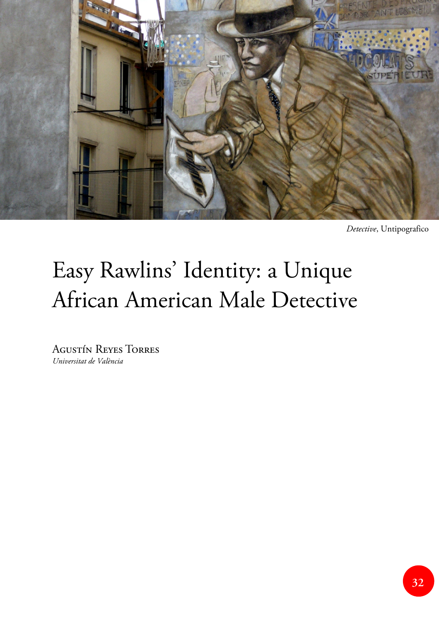

*Detective*, Untipografico

## Easy Rawlins' Identity: a Unique African American Male Detective

Agustín Reyes Torres *Universitat de València*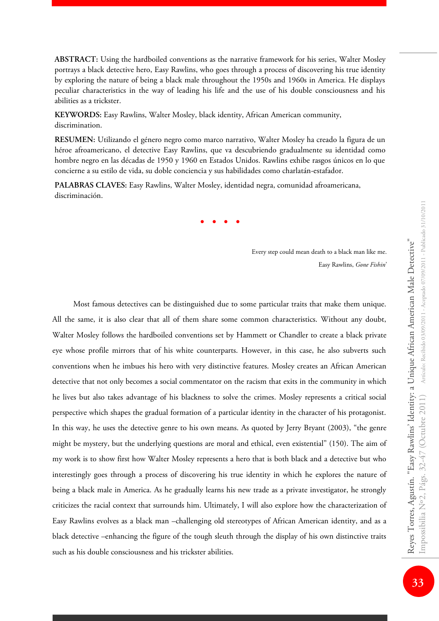**ABSTRACT:** Using the hardboiled conventions as the narrative framework for his series, Walter Mosley portrays a black detective hero, Easy Rawlins, who goes through a process of discovering his true identity by exploring the nature of being a black male throughout the 1950s and 1960s in America. He displays peculiar characteristics in the way of leading his life and the use of his double consciousness and his abilities as a trickster.

**KEYWORDS:** Easy Rawlins, Walter Mosley, black identity, African American community, discrimination.

**RESUMEN:** Utilizando el género negro como marco narrativo, Walter Mosley ha creado la figura de un héroe afroamericano, el detective Easy Rawlins, que va descubriendo gradualmente su identidad como hombre negro en las décadas de 1950 y 1960 en Estados Unidos. Rawlins exhibe rasgos únicos en lo que concierne a su estilo de vida, su doble conciencia y sus habilidades como charlatán-estafador.

**PALABRAS CLAVES:** Easy Rawlins, Walter Mosley, identidad negra, comunidad afroamericana, discriminación.

**· · · ·**

Every step could mean death to a black man like me. Easy Rawlins, *Gone Fishin*'

Most famous detectives can be distinguished due to some particular traits that make them unique. All the same, it is also clear that all of them share some common characteristics. Without any doubt, Walter Mosley follows the hardboiled conventions set by Hammett or Chandler to create a black private eye whose profile mirrors that of his white counterparts. However, in this case, he also subverts such conventions when he imbues his hero with very distinctive features. Mosley creates an African American detective that not only becomes a social commentator on the racism that exits in the community in which he lives but also takes advantage of his blackness to solve the crimes. Mosley represents a critical social perspective which shapes the gradual formation of a particular identity in the character of his protagonist. In this way, he uses the detective genre to his own means. As quoted by Jerry Bryant (2003), "the genre might be mystery, but the underlying questions are moral and ethical, even existential" (150). The aim of my work is to show first how Walter Mosley represents a hero that is both black and a detective but who interestingly goes through a process of discovering his true identity in which he explores the nature of being a black male in America. As he gradually learns his new trade as a private investigator, he strongly criticizes the racial context that surrounds him. Ultimately, I will also explore how the characterization of Easy Rawlins evolves as a black man –challenging old stereotypes of African American identity, and as a black detective –enhancing the figure of the tough sleuth through the display of his own distinctive traits such as his double consciousness and his trickster abilities.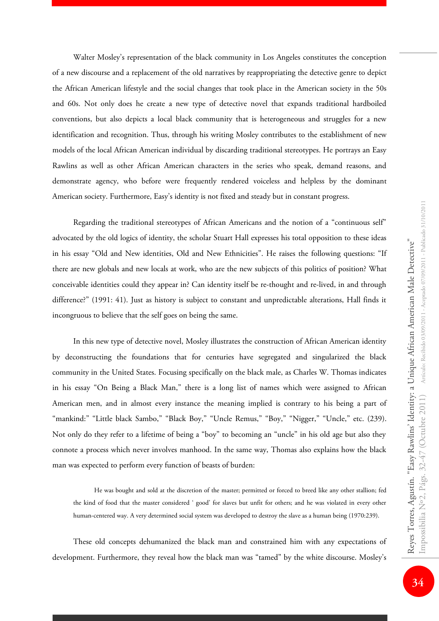Walter Mosley's representation of the black community in Los Angeles constitutes the conception of a new discourse and a replacement of the old narratives by reappropriating the detective genre to depict the African American lifestyle and the social changes that took place in the American society in the 50s and 60s. Not only does he create a new type of detective novel that expands traditional hardboiled conventions, but also depicts a local black community that is heterogeneous and struggles for a new identification and recognition. Thus, through his writing Mosley contributes to the establishment of new models of the local African American individual by discarding traditional stereotypes. He portrays an Easy Rawlins as well as other African American characters in the series who speak, demand reasons, and demonstrate agency, who before were frequently rendered voiceless and helpless by the dominant American society. Furthermore, Easy's identity is not fixed and steady but in constant progress.

Regarding the traditional stereotypes of African Americans and the notion of a "continuous self" advocated by the old logics of identity, the scholar Stuart Hall expresses his total opposition to these ideas in his essay "Old and New identities, Old and New Ethnicities". He raises the following questions: "If there are new globals and new locals at work, who are the new subjects of this politics of position? What conceivable identities could they appear in? Can identity itself be re-thought and re-lived, in and through difference?" (1991: 41). Just as history is subject to constant and unpredictable alterations, Hall finds it incongruous to believe that the self goes on being the same.

In this new type of detective novel, Mosley illustrates the construction of African American identity by deconstructing the foundations that for centuries have segregated and singularized the black community in the United States. Focusing specifically on the black male, as Charles W. Thomas indicates in his essay "On Being a Black Man," there is a long list of names which were assigned to African American men, and in almost every instance the meaning implied is contrary to his being a part of "mankind:" "Little black Sambo," "Black Boy," "Uncle Remus," "Boy," "Nigger," "Uncle," etc. (239). Not only do they refer to a lifetime of being a "boy" to becoming an "uncle" in his old age but also they connote a process which never involves manhood. In the same way, Thomas also explains how the black man was expected to perform every function of beasts of burden:

He was bought and sold at the discretion of the master; permitted or forced to breed like any other stallion; fed the kind of food that the master considered ' good' for slaves but unfit for others; and he was violated in every other human-centered way. A very determined social system was developed to destroy the slave as a human being (1970:239).

These old concepts dehumanized the black man and constrained him with any expectations of development. Furthermore, they reveal how the black man was "tamed" by the white discourse. Mosley's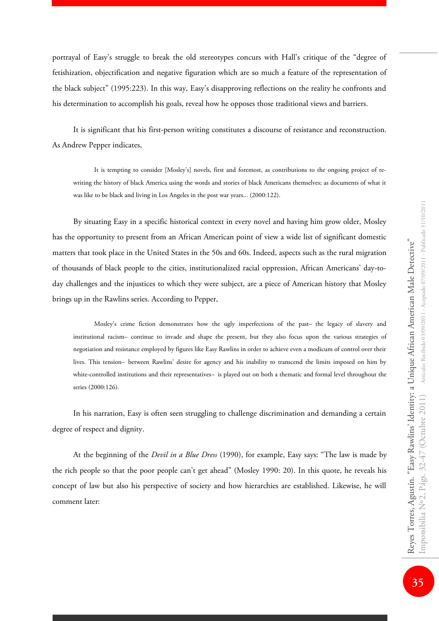portrayal of Easy's struggle to break the old stereotypes concurs with Hall's critique of the "degree of fetishization, objectification and negative figuration which are so much a feature of the representation of the black subject" (1995:223). In this way, Easy's disapproving reflections on the reality he confronts and his determination to accomplish his goals, reveal how he opposes those traditional views and barriers.

It is significant that his first-person writing constitutes a discourse of resistance and reconstruction. As Andrew Pepper indicates,

It is tempting to consider [Mosley's] novels, first and foremost, as contributions to the ongoing project of rewriting the history of black America using the words and stories of black Americans themselves; as documents of what it was like to be black and living in Los Angeles in the post war years... (2000:122).

By situating Easy in a specific historical context in every novel and having him grow older, Mosley has the opportunity to present from an African American point of view a wide list of significant domestic matters that took place in the United States in the 50s and 60s. Indeed, aspects such as the rural migration of thousands of black people to the cities, institutionalized racial oppression, African Americans' day-today challenges and the injustices to which they were subject, are a piece of American history that Mosley brings up in the Rawlins series. According to Pepper,

Mosley's crime fiction demonstrates how the ugly imperfections of the past—the legacy of slavery and institutional racism—continue to invade and shape the present, but they also focus upon the various strategies of negotiation and resistance employed by figures like Easy Rawlins in order to achieve even a modicum of control over their lives. This tension—between Rawlins' desire for agency and his inability to transcend the limits imposed on him by white-controlled institutions and their representatives—is played out on both a thematic and formal level throughout the series (2000:126).

In his narration, Easy is often seen struggling to challenge discrimination and demanding a certain degree of respect and dignity.

At the beginning of the *Devil in a Blue Dress* (1990), for example, Easy says: "The law is made by the rich people so that the poor people can't get ahead" (Mosley 1990: 20). In this quote, he reveals his concept of law but also his perspective of society and how hierarchies are established. Likewise, he will comment later: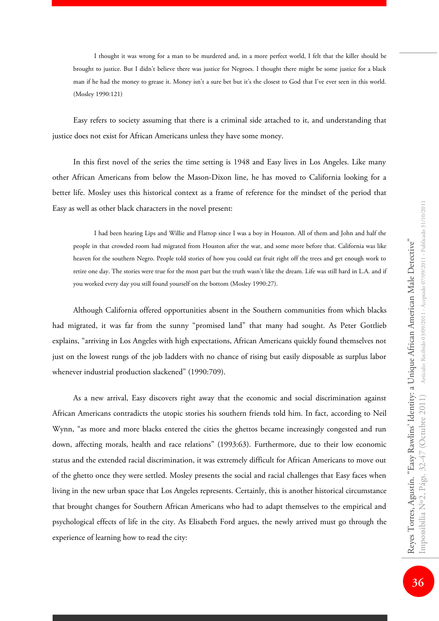I thought it was wrong for a man to be murdered and, in a more perfect world, I felt that the killer should be brought to justice. But I didn't believe there was justice for Negroes. I thought there might be some justice for a black man if he had the money to grease it. Money isn't a sure bet but it's the closest to God that I've ever seen in this world. (Mosley 1990:121)

Easy refers to society assuming that there is a criminal side attached to it, and understanding that justice does not exist for African Americans unless they have some money.

In this first novel of the series the time setting is 1948 and Easy lives in Los Angeles. Like many other African Americans from below the Mason-Dixon line, he has moved to California looking for a better life. Mosley uses this historical context as a frame of reference for the mindset of the period that Easy as well as other black characters in the novel present:

I had been hearing Lips and Willie and Flattop since I was a boy in Houston. All of them and John and half the people in that crowded room had migrated from Houston after the war, and some more before that. California was like heaven for the southern Negro. People told stories of how you could eat fruit right off the trees and get enough work to retire one day. The stories were true for the most part but the truth wasn't like the dream. Life was still hard in L.A. and if you worked every day you still found yourself on the bottom (Mosley 1990:27).

Although California offered opportunities absent in the Southern communities from which blacks had migrated, it was far from the sunny "promised land" that many had sought. As Peter Gottlieb explains, "arriving in Los Angeles with high expectations, African Americans quickly found themselves not just on the lowest rungs of the job ladders with no chance of rising but easily disposable as surplus labor whenever industrial production slackened" (1990:709).

As a new arrival, Easy discovers right away that the economic and social discrimination against African Americans contradicts the utopic stories his southern friends told him. In fact, according to Neil Wynn, "as more and more blacks entered the cities the ghettos became increasingly congested and run down, affecting morals, health and race relations" (1993:63). Furthermore, due to their low economic status and the extended racial discrimination, it was extremely difficult for African Americans to move out of the ghetto once they were settled. Mosley presents the social and racial challenges that Easy faces when living in the new urban space that Los Angeles represents. Certainly, this is another historical circumstance that brought changes for Southern African Americans who had to adapt themselves to the empirical and psychological effects of life in the city. As Elisabeth Ford argues, the newly arrived must go through the experience of learning how to read the city: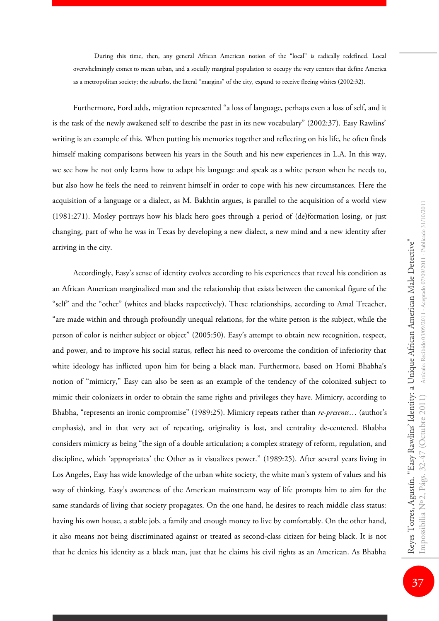During this time, then, any general African American notion of the "local" is radically redefined. Local overwhelmingly comes to mean urban, and a socially marginal population to occupy the very centers that define America as a metropolitan society; the suburbs, the literal "margins" of the city, expand to receive fleeing whites (2002:32).

Furthermore, Ford adds, migration represented "a loss of language, perhaps even a loss of self, and it is the task of the newly awakened self to describe the past in its new vocabulary" (2002:37). Easy Rawlins' writing is an example of this. When putting his memories together and reflecting on his life, he often finds himself making comparisons between his years in the South and his new experiences in L.A. In this way, we see how he not only learns how to adapt his language and speak as a white person when he needs to, but also how he feels the need to reinvent himself in order to cope with his new circumstances. Here the acquisition of a language or a dialect, as M. Bakhtin argues, is parallel to the acquisition of a world view (1981:271). Mosley portrays how his black hero goes through a period of (de)formation losing, or just changing, part of who he was in Texas by developing a new dialect, a new mind and a new identity after arriving in the city.

Accordingly, Easy's sense of identity evolves according to his experiences that reveal his condition as an African American marginalized man and the relationship that exists between the canonical figure of the "self" and the "other" (whites and blacks respectively). These relationships, according to Amal Treacher, "are made within and through profoundly unequal relations, for the white person is the subject, while the person of color is neither subject or object" (2005:50). Easy's attempt to obtain new recognition, respect, and power, and to improve his social status, reflect his need to overcome the condition of inferiority that white ideology has inflicted upon him for being a black man. Furthermore, based on Homi Bhabha's notion of "mimicry," Easy can also be seen as an example of the tendency of the colonized subject to mimic their colonizers in order to obtain the same rights and privileges they have. Mimicry, according to Bhabha, "represents an ironic compromise" (1989:25). Mimicry repeats rather than *re-presents*… (author's emphasis), and in that very act of repeating, originality is lost, and centrality de-centered. Bhabha considers mimicry as being "the sign of a double articulation; a complex strategy of reform, regulation, and discipline, which 'appropriates' the Other as it visualizes power." (1989:25). After several years living in Los Angeles, Easy has wide knowledge of the urban white society, the white man's system of values and his way of thinking. Easy's awareness of the American mainstream way of life prompts him to aim for the same standards of living that society propagates. On the one hand, he desires to reach middle class status: having his own house, a stable job, a family and enough money to live by comfortably. On the other hand, it also means not being discriminated against or treated as second-class citizen for being black. It is not that he denies his identity as a black man, just that he claims his civil rights as an American. As Bhabha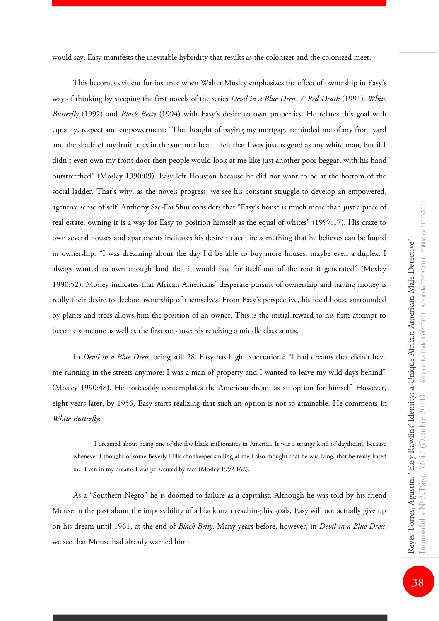would say, Easy manifests the inevitable hybridity that results as the colonizer and the colonized meet.

This becomes evident for instance when Walter Mosley emphasizes the effect of ownership in Easy's way of thinking by steeping the first novels of the series *Devil in a Blue Dress*, *A Red Death* (1991)*, White Butterfly* (1992) and *Black Betty* (1994) with Easy's desire to own properties. He relates this goal with equality, respect and empowerment: "The thought of paying my mortgage reminded me of my front yard and the shade of my fruit trees in the summer heat. I felt that I was just as good as any white man, but if I didn't even own my front door then people would look at me like just another poor beggar, with his hand outstretched" (Mosley 1990:09). Easy left Houston because he did not want to be at the bottom of the social ladder. That's why, as the novels progress, we see his constant struggle to develop an empowered, agentive sense of self. Anthony Sze-Fai Shiu considers that "Easy's house is much more than just a piece of real estate; owning it is a way for Easy to position himself as the equal of whites" (1997:17). His craze to own several houses and apartments indicates his desire to acquire something that he believes can be found in ownership. "I was dreaming about the day I'd be able to buy more houses, maybe even a duplex. I always wanted to own enough land that it would pay for itself out of the rent it generated" (Mosley 1990:52). Mosley indicates that African Americans' desperate pursuit of ownership and having money is really their desire to declare ownership of themselves. From Easy's perspective, his ideal house surrounded by plants and trees allows him the position of an owner. This is the initial reward to his firm attempt to become someone as well as the first step towards reaching a middle class status.

In *Devil in a Blue Dress*, being still 28, Easy has high expectations: "I had dreams that didn't have me running in the streets anymore; I was a man of property and I wanted to leave my wild days behind" (Mosley 1990:48). He noticeably contemplates the American dream as an option for himself. However, eight years later, by 1956*,* Easy starts realizing that such an option is not so attainable. He comments in *White Butterfly*:

I dreamed about being one of the few black millionaires in America. It was a strange kind of daydream, because whenever I thought of some Beverly Hills shopkeeper smiling at me I also thought that he was lying, that he really hated me. Even in my dreams I was persecuted by race (Mosley 1992:162).

As a "Southern Negro" he is doomed to failure as a capitalist. Although he was told by his friend Mouse in the past about the impossibility of a black man reaching his goals, Easy will not actually give up on his dream until 1961, at the end of *Black Betty*. Many years before, however, in *Devil in a Blue Dress*, we see that Mouse had already warned him: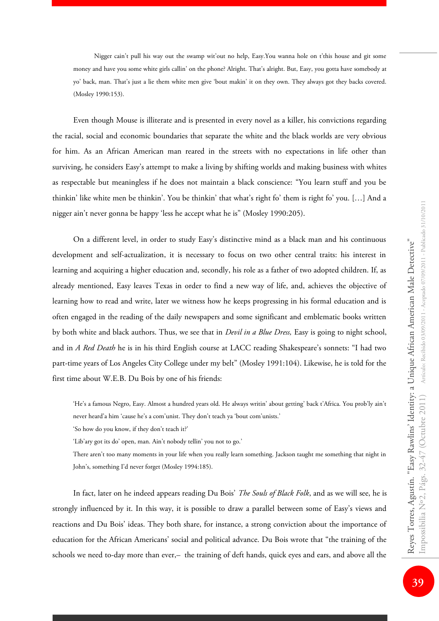Nigger cain't pull his way out the swamp wit'out no help, Easy.You wanna hole on t'this house and git some money and have you some white girls callin' on the phone? Alright. That's alright. But, Easy, you gotta have somebody at yo' back, man. That's just a lie them white men give 'bout makin' it on they own. They always got they backs covered. (Mosley 1990:153).

Even though Mouse is illiterate and is presented in every novel as a killer, his convictions regarding the racial, social and economic boundaries that separate the white and the black worlds are very obvious for him. As an African American man reared in the streets with no expectations in life other than surviving, he considers Easy's attempt to make a living by shifting worlds and making business with whites as respectable but meaningless if he does not maintain a black conscience: "You learn stuff and you be thinkin' like white men be thinkin'. You be thinkin' that what's right fo' them is right fo' you. […] And a nigger ain't never gonna be happy 'less he accept what he is" (Mosley 1990:205).

On a different level, in order to study Easy's distinctive mind as a black man and his continuous development and self-actualization, it is necessary to focus on two other central traits: his interest in learning and acquiring a higher education and, secondly, his role as a father of two adopted children. If, as already mentioned, Easy leaves Texas in order to find a new way of life, and, achieves the objective of learning how to read and write, later we witness how he keeps progressing in his formal education and is often engaged in the reading of the daily newspapers and some significant and emblematic books written by both white and black authors. Thus, we see that in *Devil in a Blue Dress,* Easy is going to night school, and in *A Red Death* he is in his third English course at LACC reading Shakespeare's sonnets: "I had two part-time years of Los Angeles City College under my belt" (Mosley 1991:104). Likewise, he is told for the first time about W.E.B. Du Bois by one of his friends:

'He's a famous Negro, Easy. Almost a hundred years old. He always writin' about getting' back t'Africa. You prob'ly ain't never heard'a him 'cause he's a com'unist. They don't teach ya 'bout com'unists.'

'So how do you know, if they don't teach it?'

'Lib'ary got its do' open, man. Ain't nobody tellin' you not to go.'

There aren't too many moments in your life when you really learn something. Jackson taught me something that night in John's, something I'd never forget (Mosley 1994:185).

In fact, later on he indeed appears reading Du Bois' *The Souls of Black Folk*, and as we will see, he is strongly influenced by it. In this way, it is possible to draw a parallel between some of Easy's views and reactions and Du Bois' ideas. They both share, for instance, a strong conviction about the importance of education for the African Americans' social and political advance. Du Bois wrote that "the training of the schools we need to-day more than ever,- the training of deft hands, quick eyes and ears, and above all the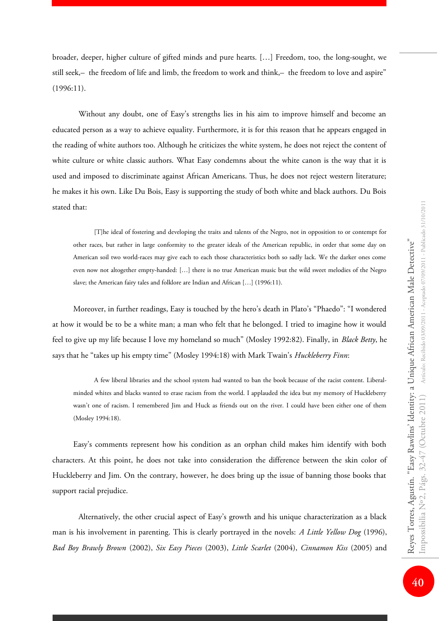broader, deeper, higher culture of gifted minds and pure hearts. […] Freedom, too, the long-sought, we still seek,— the freedom of life and limb, the freedom to work and think,— the freedom to love and aspire" (1996:11).

Without any doubt, one of Easy's strengths lies in his aim to improve himself and become an educated person as a way to achieve equality. Furthermore, it is for this reason that he appears engaged in the reading of white authors too. Although he criticizes the white system, he does not reject the content of white culture or white classic authors. What Easy condemns about the white canon is the way that it is used and imposed to discriminate against African Americans. Thus, he does not reject western literature; he makes it his own. Like Du Bois, Easy is supporting the study of both white and black authors. Du Bois stated that:

[T]he ideal of fostering and developing the traits and talents of the Negro, not in opposition to or contempt for other races, but rather in large conformity to the greater ideals of the American republic, in order that some day on American soil two world-races may give each to each those characteristics both so sadly lack. We the darker ones come even now not altogether empty-handed: […] there is no true American music but the wild sweet melodies of the Negro slave; the American fairy tales and folklore are Indian and African […] (1996:11).

Moreover, in further readings, Easy is touched by the hero's death in Plato's "Phaedo": "I wondered at how it would be to be a white man; a man who felt that he belonged. I tried to imagine how it would feel to give up my life because I love my homeland so much" (Mosley 1992:82). Finally, in *Black Betty*, he says that he "takes up his empty time" (Mosley 1994:18) with Mark Twain's *Huckleberry Finn*:

A few liberal libraries and the school system had wanted to ban the book because of the racist content. Liberalminded whites and blacks wanted to erase racism from the world. I applauded the idea but my memory of Huckleberry wasn't one of racism. I remembered Jim and Huck as friends out on the river. I could have been either one of them (Mosley 1994:18).

Easy's comments represent how his condition as an orphan child makes him identify with both characters. At this point, he does not take into consideration the difference between the skin color of Huckleberry and Jim. On the contrary, however, he does bring up the issue of banning those books that support racial prejudice.

Alternatively, the other crucial aspect of Easy's growth and his unique characterization as a black man is his involvement in parenting. This is clearly portrayed in the novels: *A Little Yellow Dog* (1996), *Bad Boy Brawly Brown* (2002), *Six Easy Pieces* (2003), *Little Scarlet* (2004), *Cinnamon Kiss* (2005) and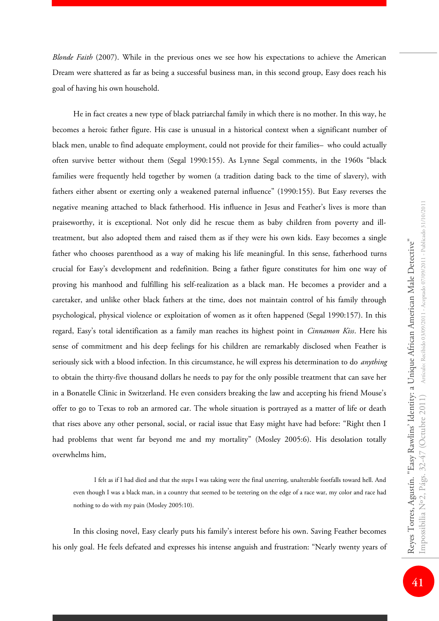*Blonde Faith* (2007). While in the previous ones we see how his expectations to achieve the American Dream were shattered as far as being a successful business man, in this second group, Easy does reach his goal of having his own household.

He in fact creates a new type of black patriarchal family in which there is no mother. In this way, he becomes a heroic father figure. His case is unusual in a historical context when a significant number of black men, unable to find adequate employment, could not provide for their families—who could actually often survive better without them (Segal 1990:155). As Lynne Segal comments, in the 1960s "black families were frequently held together by women (a tradition dating back to the time of slavery), with fathers either absent or exerting only a weakened paternal influence" (1990:155). But Easy reverses the negative meaning attached to black fatherhood. His influence in Jesus and Feather's lives is more than praiseworthy, it is exceptional. Not only did he rescue them as baby children from poverty and illtreatment, but also adopted them and raised them as if they were his own kids. Easy becomes a single father who chooses parenthood as a way of making his life meaningful. In this sense, fatherhood turns crucial for Easy's development and redefinition. Being a father figure constitutes for him one way of proving his manhood and fulfilling his self-realization as a black man. He becomes a provider and a caretaker, and unlike other black fathers at the time, does not maintain control of his family through psychological, physical violence or exploitation of women as it often happened (Segal 1990:157). In this regard, Easy's total identification as a family man reaches its highest point in *Cinnamon Kiss*. Here his sense of commitment and his deep feelings for his children are remarkably disclosed when Feather is seriously sick with a blood infection. In this circumstance, he will express his determination to do *anything* to obtain the thirty-five thousand dollars he needs to pay for the only possible treatment that can save her in a Bonatelle Clinic in Switzerland. He even considers breaking the law and accepting his friend Mouse's offer to go to Texas to rob an armored car. The whole situation is portrayed as a matter of life or death that rises above any other personal, social, or racial issue that Easy might have had before: "Right then I had problems that went far beyond me and my mortality" (Mosley 2005:6). His desolation totally overwhelms him,

I felt as if I had died and that the steps I was taking were the final unerring, unalterable footfalls toward hell. And even though I was a black man, in a country that seemed to be teetering on the edge of a race war, my color and race had nothing to do with my pain (Mosley 2005:10).

In this closing novel, Easy clearly puts his family's interest before his own. Saving Feather becomes his only goal. He feels defeated and expresses his intense anguish and frustration: "Nearly twenty years of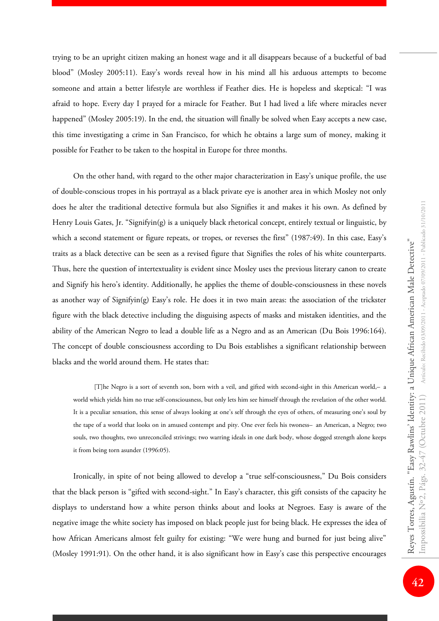trying to be an upright citizen making an honest wage and it all disappears because of a bucketful of bad blood" (Mosley 2005:11). Easy's words reveal how in his mind all his arduous attempts to become someone and attain a better lifestyle are worthless if Feather dies. He is hopeless and skeptical: "I was afraid to hope. Every day I prayed for a miracle for Feather. But I had lived a life where miracles never happened" (Mosley 2005:19). In the end, the situation will finally be solved when Easy accepts a new case, this time investigating a crime in San Francisco, for which he obtains a large sum of money, making it possible for Feather to be taken to the hospital in Europe for three months.

On the other hand, with regard to the other major characterization in Easy's unique profile, the use of double-conscious tropes in his portrayal as a black private eye is another area in which Mosley not only does he alter the traditional detective formula but also Signifies it and makes it his own. As defined by Henry Louis Gates, Jr. "Signifyin(g) is a uniquely black rhetorical concept, entirely textual or linguistic, by which a second statement or figure repeats, or tropes, or reverses the first" (1987:49). In this case, Easy's traits as a black detective can be seen as a revised figure that Signifies the roles of his white counterparts. Thus, here the question of intertextuality is evident since Mosley uses the previous literary canon to create and Signify his hero's identity. Additionally, he applies the theme of double-consciousness in these novels as another way of Signifyin(g) Easy's role. He does it in two main areas: the association of the trickster figure with the black detective including the disguising aspects of masks and mistaken identities, and the ability of the American Negro to lead a double life as a Negro and as an American (Du Bois 1996:164). The concept of double consciousness according to Du Bois establishes a significant relationship between blacks and the world around them. He states that:

[T]he Negro is a sort of seventh son, born with a veil, and gifted with second-sight in this American world,—a world which yields him no true self-consciousness, but only lets him see himself through the revelation of the other world. It is a peculiar sensation, this sense of always looking at one's self through the eyes of others, of measuring one's soul by the tape of a world that looks on in amused contempt and pity. One ever feels his twoness- an American, a Negro; two souls, two thoughts, two unreconciled strivings; two warring ideals in one dark body, whose dogged strength alone keeps it from being torn asunder (1996:05).

Ironically, in spite of not being allowed to develop a "true self-consciousness," Du Bois considers that the black person is "gifted with second-sight." In Easy's character, this gift consists of the capacity he displays to understand how a white person thinks about and looks at Negroes. Easy is aware of the negative image the white society has imposed on black people just for being black. He expresses the idea of how African Americans almost felt guilty for existing: "We were hung and burned for just being alive" (Mosley 1991:91). On the other hand, it is also significant how in Easy's case this perspective encourages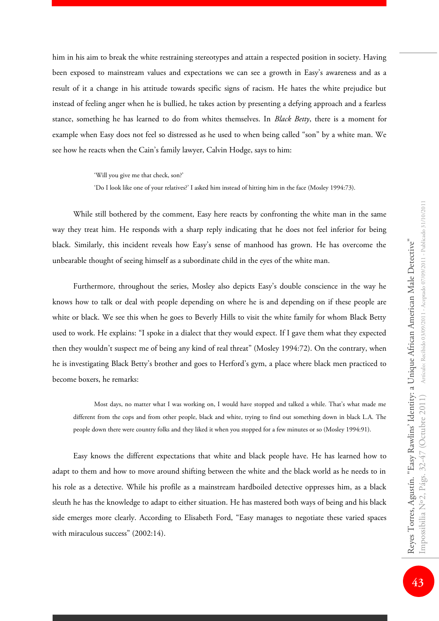him in his aim to break the white restraining stereotypes and attain a respected position in society. Having been exposed to mainstream values and expectations we can see a growth in Easy's awareness and as a result of it a change in his attitude towards specific signs of racism. He hates the white prejudice but instead of feeling anger when he is bullied, he takes action by presenting a defying approach and a fearless stance, something he has learned to do from whites themselves. In *Black Betty*, there is a moment for example when Easy does not feel so distressed as he used to when being called "son" by a white man. We see how he reacts when the Cain's family lawyer, Calvin Hodge, says to him:

'Will you give me that check, son?'

'Do I look like one of your relatives?' I asked him instead of hitting him in the face (Mosley 1994:73).

While still bothered by the comment, Easy here reacts by confronting the white man in the same way they treat him. He responds with a sharp reply indicating that he does not feel inferior for being black. Similarly, this incident reveals how Easy's sense of manhood has grown. He has overcome the unbearable thought of seeing himself as a subordinate child in the eyes of the white man.

Furthermore, throughout the series, Mosley also depicts Easy's double conscience in the way he knows how to talk or deal with people depending on where he is and depending on if these people are white or black. We see this when he goes to Beverly Hills to visit the white family for whom Black Betty used to work. He explains: "I spoke in a dialect that they would expect. If I gave them what they expected then they wouldn't suspect me of being any kind of real threat" (Mosley 1994:72). On the contrary, when he is investigating Black Betty's brother and goes to Herford's gym, a place where black men practiced to become boxers, he remarks:

Most days, no matter what I was working on, I would have stopped and talked a while. That's what made me different from the cops and from other people, black and white, trying to find out something down in black L.A. The people down there were country folks and they liked it when you stopped for a few minutes or so (Mosley 1994:91).

Easy knows the different expectations that white and black people have. He has learned how to adapt to them and how to move around shifting between the white and the black world as he needs to in his role as a detective. While his profile as a mainstream hardboiled detective oppresses him, as a black sleuth he has the knowledge to adapt to either situation. He has mastered both ways of being and his black side emerges more clearly. According to Elisabeth Ford, "Easy manages to negotiate these varied spaces with miraculous success" (2002:14).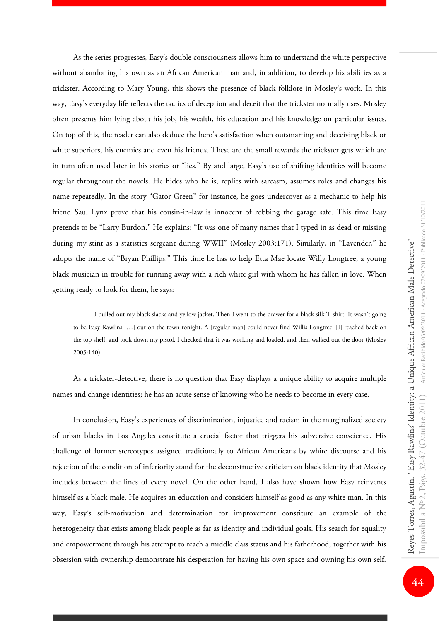As the series progresses, Easy's double consciousness allows him to understand the white perspective without abandoning his own as an African American man and, in addition, to develop his abilities as a trickster. According to Mary Young, this shows the presence of black folklore in Mosley's work. In this way, Easy's everyday life reflects the tactics of deception and deceit that the trickster normally uses. Mosley often presents him lying about his job, his wealth, his education and his knowledge on particular issues. On top of this, the reader can also deduce the hero's satisfaction when outsmarting and deceiving black or white superiors, his enemies and even his friends. These are the small rewards the trickster gets which are in turn often used later in his stories or "lies." By and large, Easy's use of shifting identities will become regular throughout the novels. He hides who he is, replies with sarcasm, assumes roles and changes his name repeatedly. In the story "Gator Green" for instance, he goes undercover as a mechanic to help his friend Saul Lynx prove that his cousin-in-law is innocent of robbing the garage safe. This time Easy pretends to be "Larry Burdon." He explains: "It was one of many names that I typed in as dead or missing during my stint as a statistics sergeant during WWII" (Mosley 2003:171). Similarly, in "Lavender," he adopts the name of "Bryan Phillips." This time he has to help Etta Mae locate Willy Longtree, a young black musician in trouble for running away with a rich white girl with whom he has fallen in love. When getting ready to look for them, he says:

I pulled out my black slacks and yellow jacket. Then I went to the drawer for a black silk T-shirt. It wasn't going to be Easy Rawlins […] out on the town tonight. A [regular man] could never find Willis Longtree. [I] reached back on the top shelf, and took down my pistol. I checked that it was working and loaded, and then walked out the door (Mosley 2003:140).

As a trickster-detective, there is no question that Easy displays a unique ability to acquire multiple names and change identities; he has an acute sense of knowing who he needs to become in every case.

In conclusion, Easy's experiences of discrimination, injustice and racism in the marginalized society of urban blacks in Los Angeles constitute a crucial factor that triggers his subversive conscience. His challenge of former stereotypes assigned traditionally to African Americans by white discourse and his rejection of the condition of inferiority stand for the deconstructive criticism on black identity that Mosley includes between the lines of every novel. On the other hand, I also have shown how Easy reinvents himself as a black male. He acquires an education and considers himself as good as any white man. In this way, Easy's self-motivation and determination for improvement constitute an example of the heterogeneity that exists among black people as far as identity and individual goals. His search for equality and empowerment through his attempt to reach a middle class status and his fatherhood, together with his obsession with ownership demonstrate his desperation for having his own space and owning his own self.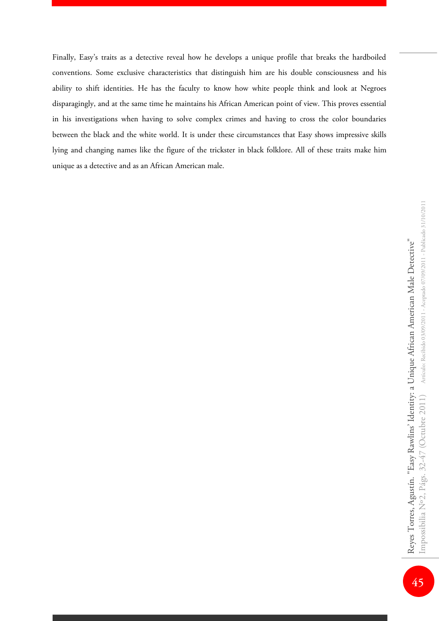Finally, Easy's traits as a detective reveal how he develops a unique profile that breaks the hardboiled conventions. Some exclusive characteristics that distinguish him are his double consciousness and his ability to shift identities. He has the faculty to know how white people think and look at Negroes disparagingly, and at the same time he maintains his African American point of view. This proves essential in his investigations when having to solve complex crimes and having to cross the color boundaries between the black and the white world. It is under these circumstances that Easy shows impressive skills lying and changing names like the figure of the trickster in black folklore. All of these traits make him unique as a detective and as an African American male.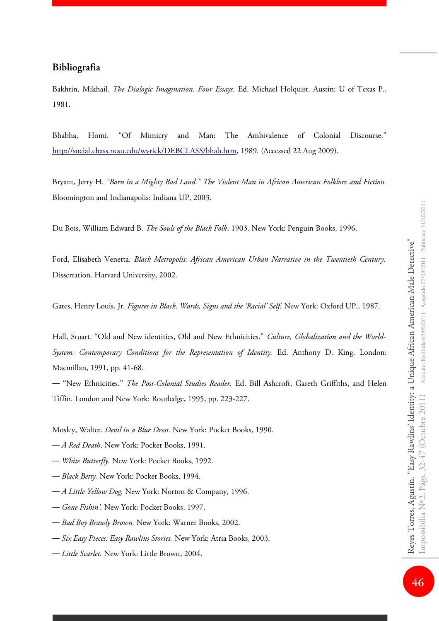## **Bibliografia**

Bakhtin, Mikhail. *The Dialogic Imagination. Four Essays.* Ed. Michael Holquist. Austin: U of Texas P., 1981.

Bhabha, Homi. "Of Mimicry and Man: The Ambivalence of Colonial Discourse." [http://social.chass.ncsu.edu/wyrick/DEBCLASS/bhab.htm,](http://social.chass.ncsu.edu/wyrick/DEBCLASS/bhab.htm) 1989. (Accessed 22 Aug 2009).

Bryant, Jerry H. *"Born in a Mighty Bad Land." The Violent Man in African American Folklore and Fiction.* Bloomington and Indianapolis: Indiana UP, 2003.

Du Bois, William Edward B. *The Souls of the Black Folk*. 1903. New York: Penguin Books, 1996.

Ford, Elisabeth Venetta. *Black Metropolis: African American Urban Narrative in the Twentieth Century.* Dissertation. Harvard University, 2002.

Gates, Henry Louis, Jr. *Figures in Black. Words, Signs and the 'Racial' Self.* New York: Oxford UP., 1987.

Hall, Stuart. "Old and New identities, Old and New Ethnicities." *Culture, Globalization and the World-System: Contemporary Conditions for the Representation of Identity.* Ed. Anthony D. King. London: Macmillan, 1991, pp. 41-68.

― "New Ethnicities." *The Post-Colonial Studies Reader.* Ed. Bill Ashcroft, Gareth Griffiths, and Helen Tiffin. London and New York: Routledge, 1995, pp. 223-227.

Mosley, Walter. *Devil in a Blue Dress.* New York: Pocket Books, 1990.

- ― *A Red Death*. New York: Pocket Books, 1991.
- ― *White Butterfly.* New York: Pocket Books, 1992.
- ― *Black Betty.* New York: Pocket Books, 1994.
- ― *A Little Yellow Dog.* New York: Norton & Company, 1996.
- ― *Gone Fishin'.* New York: Pocket Books, 1997.
- ― *Bad Boy Brawly Brown.* New York: Warner Books, 2002.
- ― *Six Easy Pieces: Easy Rawlins Stories.* New York: Atria Books, 2003.
- ― *Little Scarlet.* New York: Little Brown, 2004.